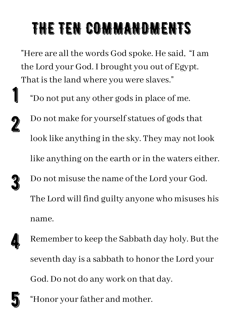## THE TEN COMMANDMENTS

"Here are all the words God spoke. He said, "I am the Lord your God. I brought you out of Egypt. That is the land where you were slaves." 1

"Do not put any other godsin place of me.

Do not make for yourself statues of gods that look like anything in the sky. They may not look like anything on the earth or in the waters either. Do not misuse the name of the Lord your God. The Lord will find guilty anyone who misuses his

name.

Remember to keep the Sabbath day holy. But the seventh day is a sabbath to honor the Lord your God. Do not do any work on that day. 4



2

3

"Honor your father and mother.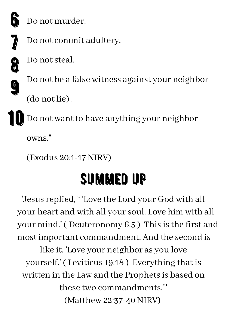

Do not murder.



8

9

Do not commit adultery.

Do not steal.

Do not be a false witness against your neighbor

(do not lie) .

Do not want to have anything your neighbor owns." 10

(Exodus 20:1-17 NIRV)

## SUMMED UP

'Jesus replied, " 'Love the Lord your God with all your heart and with all yoursoul. Love him with all your mind.' (Deuteronomy 6:5) This is the first and most important commandment. And the second is

like it. 'Love your neighbor as you love yourself.' ( Leviticus 19:18 ) Everything that is written in the Law and the Prophets is based on these two commandments."' (Matthew 22:37-40 NIRV)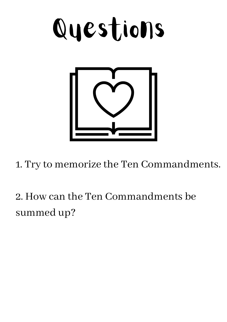

1. Try to memorize the Ten Commandments.

2. How can the Ten Commandments be summed up?